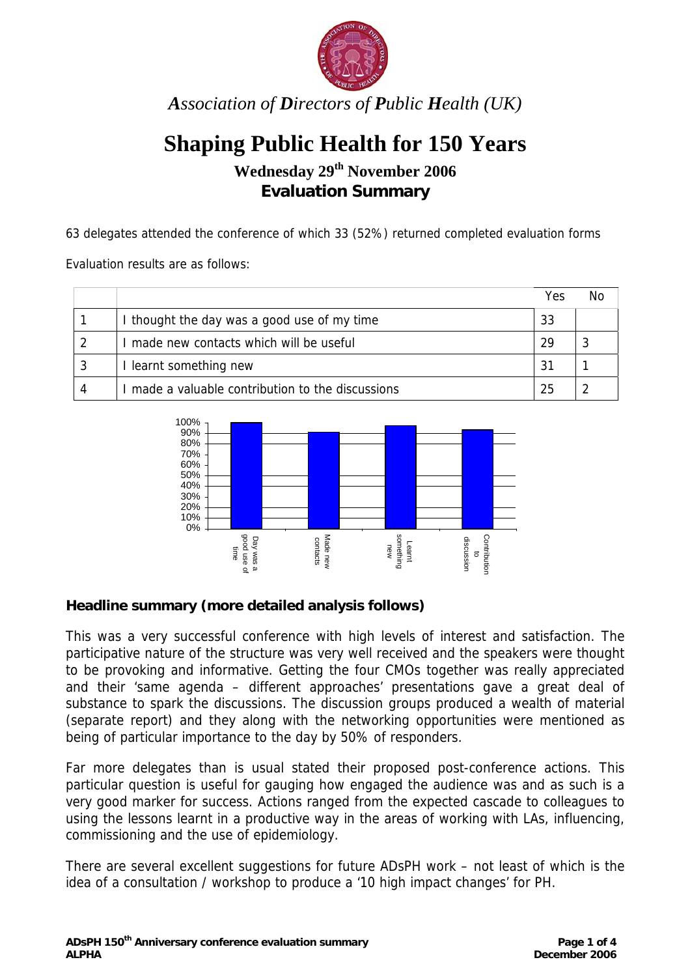

*Association of Directors of Public Health (UK)* 

# **Shaping Public Health for 150 Years**

**Wednesday 29th November 2006 Evaluation Summary** 

63 delegates attended the conference of which 33 (52%) returned completed evaluation forms

Evaluation results are as follows:

|                                                 | Yes | Nο |
|-------------------------------------------------|-----|----|
| I thought the day was a good use of my time     | 33  |    |
| made new contacts which will be useful          | 29  |    |
| I learnt something new                          |     |    |
| made a valuable contribution to the discussions | 25  |    |



# **Headline summary (more detailed analysis follows)**

This was a very successful conference with high levels of interest and satisfaction. The participative nature of the structure was very well received and the speakers were thought to be provoking and informative. Getting the four CMOs together was really appreciated and their 'same agenda – different approaches' presentations gave a great deal of substance to spark the discussions. The discussion groups produced a wealth of material (separate report) and they along with the networking opportunities were mentioned as being of particular importance to the day by 50% of responders.

Far more delegates than is usual stated their proposed post-conference actions. This particular question is useful for gauging how engaged the audience was and as such is a very good marker for success. Actions ranged from the expected cascade to colleagues to using the lessons learnt in a productive way in the areas of working with LAs, influencing, commissioning and the use of epidemiology.

There are several excellent suggestions for future ADsPH work – not least of which is the idea of a consultation / workshop to produce a '10 high impact changes' for PH.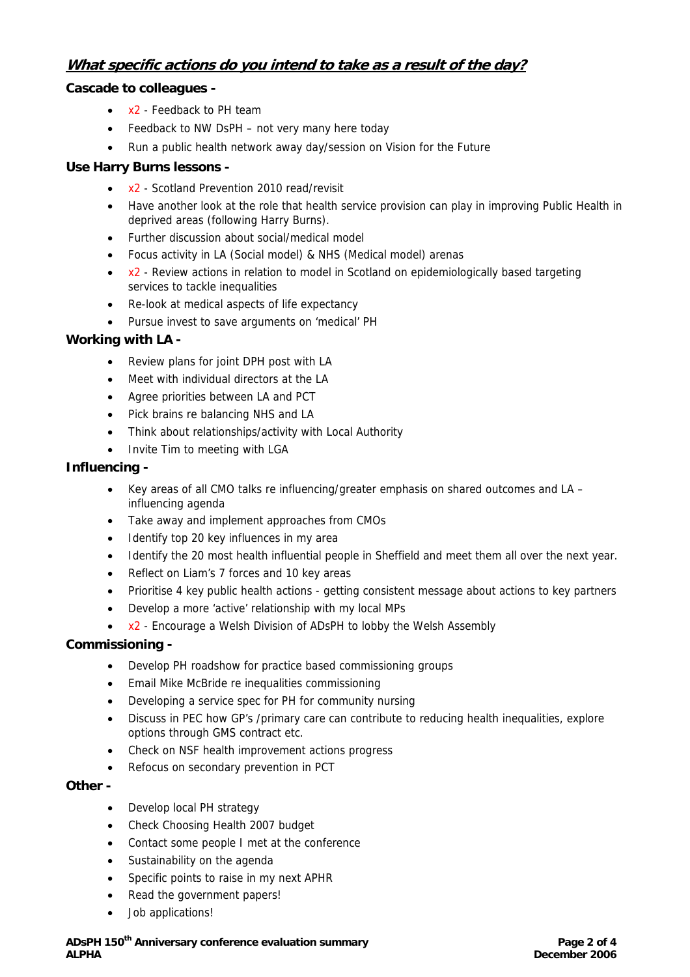# **What specific actions do you intend to take as a result of the day?**

#### **Cascade to colleagues -**

- x2 Feedback to PH team
- Feedback to NW DsPH not very many here today
- Run a public health network away day/session on Vision for the Future

#### **Use Harry Burns lessons -**

- x2 Scotland Prevention 2010 read/revisit
- Have another look at the role that health service provision can play in improving Public Health in deprived areas (following Harry Burns).
- Further discussion about social/medical model
- Focus activity in LA (Social model) & NHS (Medical model) arenas
- x2 Review actions in relation to model in Scotland on epidemiologically based targeting services to tackle inequalities
- Re-look at medical aspects of life expectancy
- Pursue invest to save arguments on 'medical' PH

#### **Working with LA -**

- Review plans for joint DPH post with LA
- Meet with individual directors at the LA
- Agree priorities between LA and PCT
- Pick brains re balancing NHS and LA
- Think about relationships/activity with Local Authority
- Invite Tim to meeting with LGA

#### **Influencing -**

- Key areas of all CMO talks re influencing/greater emphasis on shared outcomes and LA influencing agenda
- Take away and implement approaches from CMOs
- Identify top 20 key influences in my area
- Identify the 20 most health influential people in Sheffield and meet them all over the next year.
- Reflect on Liam's 7 forces and 10 key areas
- Prioritise 4 key public health actions getting consistent message about actions to key partners
- Develop a more 'active' relationship with my local MPs
- x2 Encourage a Welsh Division of ADsPH to lobby the Welsh Assembly

#### **Commissioning -**

- Develop PH roadshow for practice based commissioning groups
- Email Mike McBride re inequalities commissioning
- Developing a service spec for PH for community nursing
- Discuss in PEC how GP's /primary care can contribute to reducing health inequalities, explore options through GMS contract etc.
- Check on NSF health improvement actions progress
- Refocus on secondary prevention in PCT

#### **Other -**

- Develop local PH strategy
- Check Choosing Health 2007 budget
- Contact some people I met at the conference
- Sustainability on the agenda
- Specific points to raise in my next APHR
- Read the government papers!
- Job applications!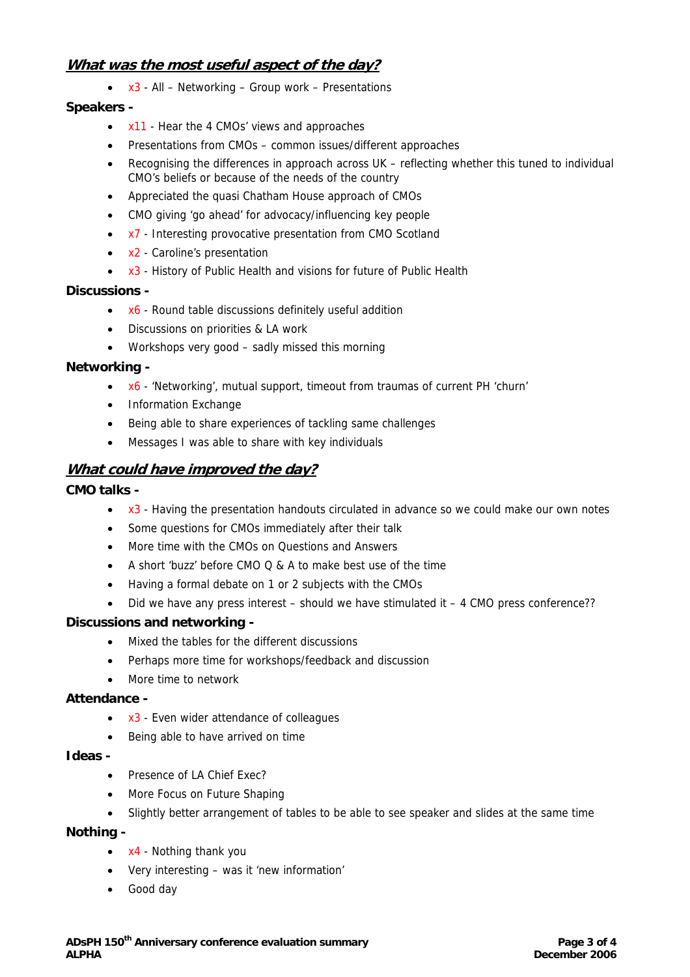# **What was the most useful aspect of the day?**

• x3 - All – Networking – Group work – Presentations

#### **Speakers -**

- x11 Hear the 4 CMOs' views and approaches
- Presentations from CMOs common issues/different approaches
- Recognising the differences in approach across UK reflecting whether this tuned to individual CMO's beliefs or because of the needs of the country
- Appreciated the quasi Chatham House approach of CMOs
- CMO giving 'go ahead' for advocacy/influencing key people
- x7 Interesting provocative presentation from CMO Scotland
- x2 Caroline's presentation
- $\overline{x}$  History of Public Health and visions for future of Public Health

#### **Discussions -**

- x6 Round table discussions definitely useful addition
- Discussions on priorities & LA work
- Workshops very good sadly missed this morning

#### **Networking -**

- x6 'Networking', mutual support, timeout from traumas of current PH 'churn'
- Information Exchange
- Being able to share experiences of tackling same challenges
- Messages I was able to share with key individuals

## **What could have improved the day?**

#### **CMO talks -**

- x3 Having the presentation handouts circulated in advance so we could make our own notes
- Some questions for CMOs immediately after their talk
- More time with the CMOs on Questions and Answers
- A short 'buzz' before CMO Q & A to make best use of the time
- Having a formal debate on 1 or 2 subjects with the CMOs
- Did we have any press interest should we have stimulated it 4 CMO press conference??

#### **Discussions and networking -**

- Mixed the tables for the different discussions
- Perhaps more time for workshops/feedback and discussion
- More time to network

#### **Attendance -**

- x3 Even wider attendance of colleagues
- Being able to have arrived on time

#### **Ideas -**

- Presence of LA Chief Exec?
- More Focus on Future Shaping
- Slightly better arrangement of tables to be able to see speaker and slides at the same time

#### **Nothing -**

- x4 Nothing thank you
- Very interesting was it 'new information'
- Good day